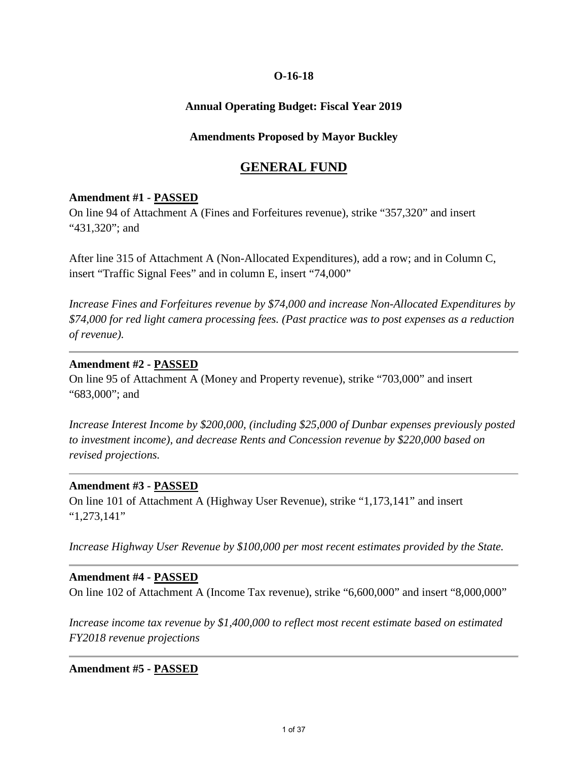## **Annual Operating Budget: Fiscal Year 2019**

## **Amendments Proposed by Mayor Buckley**

# **GENERAL FUND**

## **Amendment #1 - PASSED**

On line 94 of Attachment A (Fines and Forfeitures revenue), strike "357,320" and insert "431,320"; and

After line 315 of Attachment A (Non-Allocated Expenditures), add a row; and in Column C, insert "Traffic Signal Fees" and in column E, insert "74,000"

*Increase Fines and Forfeitures revenue by \$74,000 and increase Non-Allocated Expenditures by \$74,000 for red light camera processing fees. (Past practice was to post expenses as a reduction of revenue).* 

## **Amendment #2 - PASSED**

On line 95 of Attachment A (Money and Property revenue), strike "703,000" and insert "683,000"; and

*Increase Interest Income by \$200,000, (including \$25,000 of Dunbar expenses previously posted to investment income), and decrease Rents and Concession revenue by \$220,000 based on revised projections.* 

## **Amendment #3 - PASSED**

On line 101 of Attachment A (Highway User Revenue), strike "1,173,141" and insert "1,273,141"

*Increase Highway User Revenue by \$100,000 per most recent estimates provided by the State.* 

## **Amendment #4 - PASSED**

On line 102 of Attachment A (Income Tax revenue), strike "6,600,000" and insert "8,000,000"

*Increase income tax revenue by \$1,400,000 to reflect most recent estimate based on estimated FY2018 revenue projections*

## **Amendment #5 - PASSED**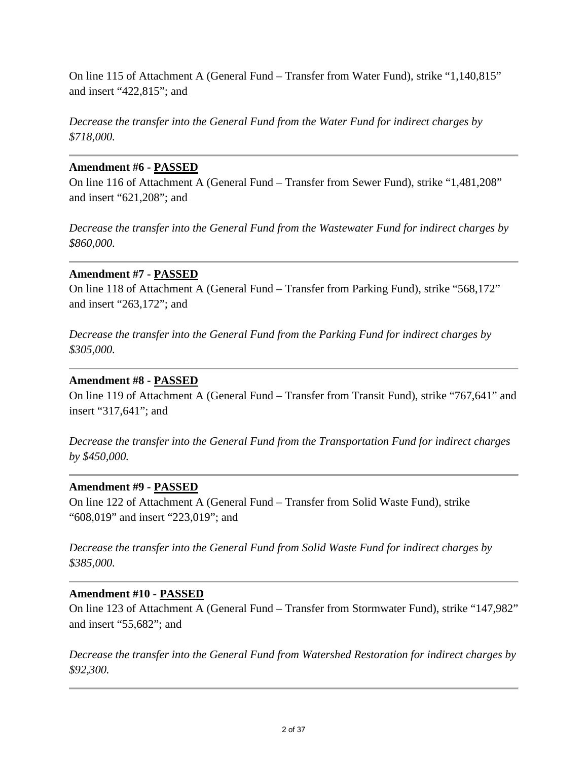On line 115 of Attachment A (General Fund – Transfer from Water Fund), strike "1,140,815" and insert "422,815"; and

*Decrease the transfer into the General Fund from the Water Fund for indirect charges by \$718,000.* 

# **Amendment #6 - PASSED**

On line 116 of Attachment A (General Fund – Transfer from Sewer Fund), strike "1,481,208" and insert "621,208"; and

*Decrease the transfer into the General Fund from the Wastewater Fund for indirect charges by \$860,000.* 

# **Amendment #7 - PASSED**

On line 118 of Attachment A (General Fund – Transfer from Parking Fund), strike "568,172" and insert "263,172"; and

*Decrease the transfer into the General Fund from the Parking Fund for indirect charges by \$305,000.* 

# **Amendment #8 - PASSED**

On line 119 of Attachment A (General Fund – Transfer from Transit Fund), strike "767,641" and insert "317,641"; and

*Decrease the transfer into the General Fund from the Transportation Fund for indirect charges by \$450,000.* 

## **Amendment #9 - PASSED**

On line 122 of Attachment A (General Fund – Transfer from Solid Waste Fund), strike "608,019" and insert "223,019"; and

*Decrease the transfer into the General Fund from Solid Waste Fund for indirect charges by \$385,000.* 

## **Amendment #10 - PASSED**

On line 123 of Attachment A (General Fund – Transfer from Stormwater Fund), strike "147,982" and insert "55,682"; and

*Decrease the transfer into the General Fund from Watershed Restoration for indirect charges by \$92,300.*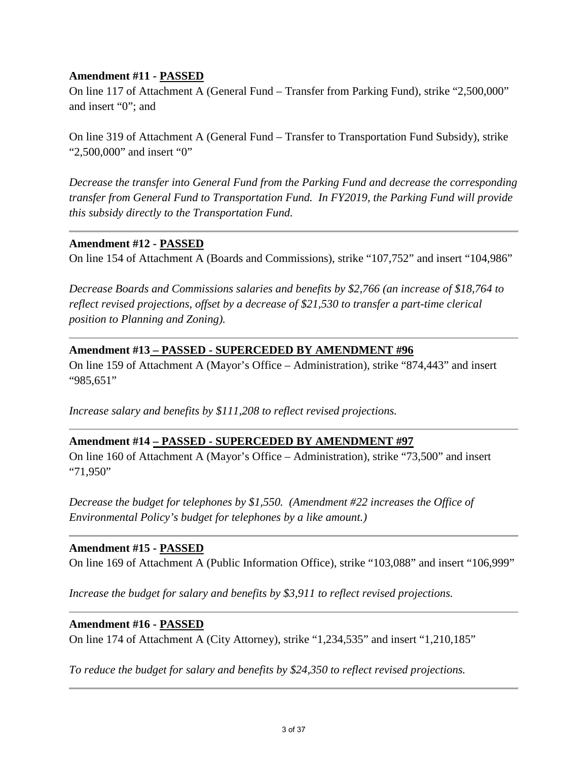## **Amendment #11 - PASSED**

On line 117 of Attachment A (General Fund – Transfer from Parking Fund), strike "2,500,000" and insert "0"; and

On line 319 of Attachment A (General Fund – Transfer to Transportation Fund Subsidy), strike "2,500,000" and insert "0"

*Decrease the transfer into General Fund from the Parking Fund and decrease the corresponding transfer from General Fund to Transportation Fund. In FY2019, the Parking Fund will provide this subsidy directly to the Transportation Fund.* 

## **Amendment #12 - PASSED**

On line 154 of Attachment A (Boards and Commissions), strike "107,752" and insert "104,986"

*Decrease Boards and Commissions salaries and benefits by \$2,766 (an increase of \$18,764 to reflect revised projections, offset by a decrease of \$21,530 to transfer a part-time clerical position to Planning and Zoning).* 

# **Amendment #13 – PASSED - SUPERCEDED BY AMENDMENT #96**

On line 159 of Attachment A (Mayor's Office – Administration), strike "874,443" and insert "985,651"

*Increase salary and benefits by \$111,208 to reflect revised projections.* 

# **Amendment #14 – PASSED - SUPERCEDED BY AMENDMENT #97**

On line 160 of Attachment A (Mayor's Office – Administration), strike "73,500" and insert "71,950"

*Decrease the budget for telephones by \$1,550. (Amendment #22 increases the Office of Environmental Policy's budget for telephones by a like amount.)* 

# **Amendment #15 - PASSED**

On line 169 of Attachment A (Public Information Office), strike "103,088" and insert "106,999"

*Increase the budget for salary and benefits by \$3,911 to reflect revised projections.* 

## **Amendment #16 - PASSED**

On line 174 of Attachment A (City Attorney), strike "1,234,535" and insert "1,210,185"

*To reduce the budget for salary and benefits by \$24,350 to reflect revised projections.*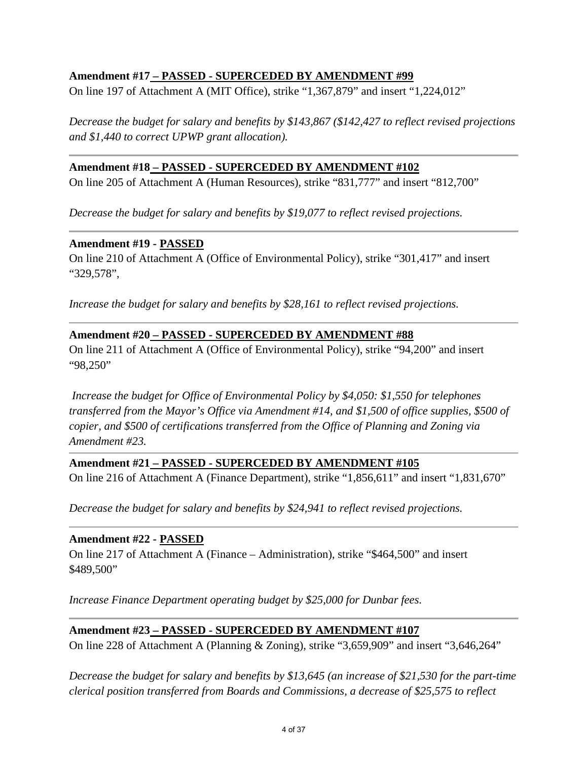# **Amendment #17 – PASSED - SUPERCEDED BY AMENDMENT #99**

On line 197 of Attachment A (MIT Office), strike "1,367,879" and insert "1,224,012"

*Decrease the budget for salary and benefits by \$143,867 (\$142,427 to reflect revised projections and \$1,440 to correct UPWP grant allocation).*

## **Amendment #18 – PASSED - SUPERCEDED BY AMENDMENT #102**

On line 205 of Attachment A (Human Resources), strike "831,777" and insert "812,700"

*Decrease the budget for salary and benefits by \$19,077 to reflect revised projections.*

## **Amendment #19 - PASSED**

On line 210 of Attachment A (Office of Environmental Policy), strike "301,417" and insert "329,578",

*Increase the budget for salary and benefits by \$28,161 to reflect revised projections.* 

# **Amendment #20 – PASSED - SUPERCEDED BY AMENDMENT #88**

On line 211 of Attachment A (Office of Environmental Policy), strike "94,200" and insert "98,250"

*Increase the budget for Office of Environmental Policy by \$4,050: \$1,550 for telephones transferred from the Mayor's Office via Amendment #14, and \$1,500 of office supplies, \$500 of copier, and \$500 of certifications transferred from the Office of Planning and Zoning via Amendment #23.* 

# **Amendment #21 – PASSED - SUPERCEDED BY AMENDMENT #105**

On line 216 of Attachment A (Finance Department), strike "1,856,611" and insert "1,831,670"

*Decrease the budget for salary and benefits by \$24,941 to reflect revised projections.* 

# **Amendment #22 - PASSED**

On line 217 of Attachment A (Finance – Administration), strike "\$464,500" and insert \$489,500"

*Increase Finance Department operating budget by \$25,000 for Dunbar fees.* 

# **Amendment #23 – PASSED - SUPERCEDED BY AMENDMENT #107**

On line 228 of Attachment A (Planning & Zoning), strike "3,659,909" and insert "3,646,264"

*Decrease the budget for salary and benefits by \$13,645 (an increase of \$21,530 for the part-time clerical position transferred from Boards and Commissions, a decrease of \$25,575 to reflect*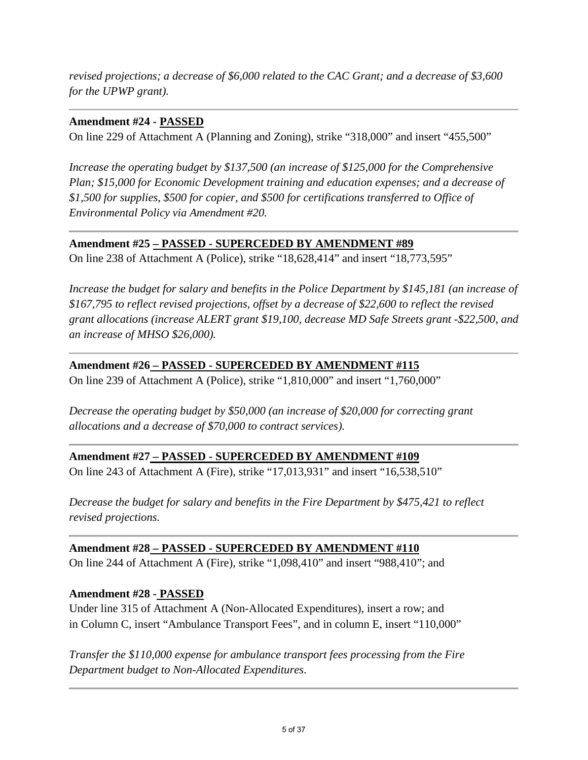*revised projections; a decrease of \$6,000 related to the CAC Grant; and a decrease of \$3,600 for the UPWP grant).*

# **Amendment #24 - PASSED**

On line 229 of Attachment A (Planning and Zoning), strike "318,000" and insert "455,500"

*Increase the operating budget by \$137,500 (an increase of \$125,000 for the Comprehensive Plan; \$15,000 for Economic Development training and education expenses; and a decrease of \$1,500 for supplies, \$500 for copier, and \$500 for certifications transferred to Office of Environmental Policy via Amendment #20.*

# **Amendment #25 – PASSED - SUPERCEDED BY AMENDMENT #89**

On line 238 of Attachment A (Police), strike "18,628,414" and insert "18,773,595"

*Increase the budget for salary and benefits in the Police Department by \$145,181 (an increase of \$167,795 to reflect revised projections, offset by a decrease of \$22,600 to reflect the revised grant allocations (increase ALERT grant \$19,100, decrease MD Safe Streets grant -\$22,500, and an increase of MHSO \$26,000).* 

# **Amendment #26 – PASSED - SUPERCEDED BY AMENDMENT #115**

On line 239 of Attachment A (Police), strike "1,810,000" and insert "1,760,000"

*Decrease the operating budget by \$50,000 (an increase of \$20,000 for correcting grant allocations and a decrease of \$70,000 to contract services).*

# **Amendment #27 – PASSED - SUPERCEDED BY AMENDMENT #109**

On line 243 of Attachment A (Fire), strike "17,013,931" and insert "16,538,510"

*Decrease the budget for salary and benefits in the Fire Department by \$475,421 to reflect revised projections.* 

# **Amendment #28 – PASSED - SUPERCEDED BY AMENDMENT #110**

On line 244 of Attachment A (Fire), strike "1,098,410" and insert "988,410"; and

# **Amendment #28 - PASSED**

Under line 315 of Attachment A (Non-Allocated Expenditures), insert a row; and in Column C, insert "Ambulance Transport Fees", and in column E, insert "110,000"

*Transfer the \$110,000 expense for ambulance transport fees processing from the Fire Department budget to Non-Allocated Expenditures.*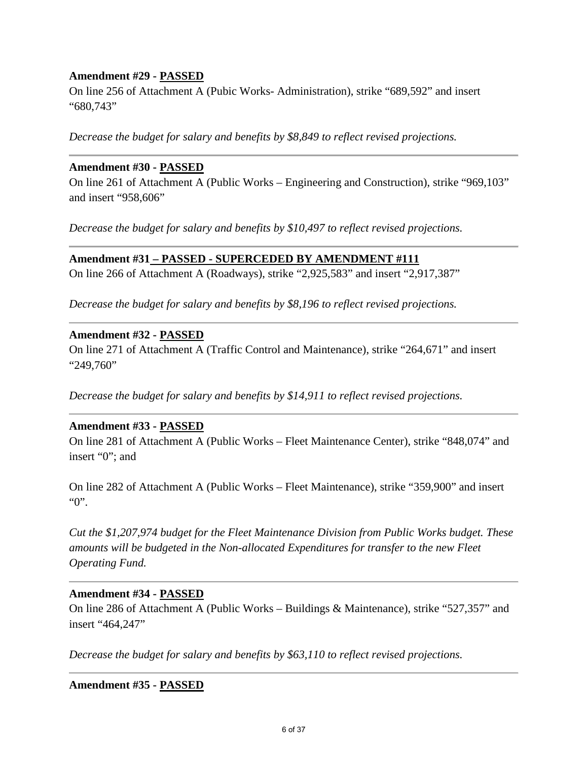## **Amendment #29 - PASSED**

On line 256 of Attachment A (Pubic Works- Administration), strike "689,592" and insert "680,743"

*Decrease the budget for salary and benefits by \$8,849 to reflect revised projections.* 

## **Amendment #30 - PASSED**

On line 261 of Attachment A (Public Works – Engineering and Construction), strike "969,103" and insert "958,606"

*Decrease the budget for salary and benefits by \$10,497 to reflect revised projections.*

## **Amendment #31 – PASSED - SUPERCEDED BY AMENDMENT #111**

On line 266 of Attachment A (Roadways), strike "2,925,583" and insert "2,917,387"

*Decrease the budget for salary and benefits by \$8,196 to reflect revised projections.* 

## **Amendment #32 - PASSED**

On line 271 of Attachment A (Traffic Control and Maintenance), strike "264,671" and insert "249,760"

*Decrease the budget for salary and benefits by \$14,911 to reflect revised projections.* 

## **Amendment #33 - PASSED**

On line 281 of Attachment A (Public Works – Fleet Maintenance Center), strike "848,074" and insert "0"; and

On line 282 of Attachment A (Public Works – Fleet Maintenance), strike "359,900" and insert "0".

*Cut the \$1,207,974 budget for the Fleet Maintenance Division from Public Works budget. These amounts will be budgeted in the Non-allocated Expenditures for transfer to the new Fleet Operating Fund.*

## **Amendment #34 - PASSED**

On line 286 of Attachment A (Public Works – Buildings & Maintenance), strike "527,357" and insert "464,247"

*Decrease the budget for salary and benefits by \$63,110 to reflect revised projections.* 

**Amendment #35 - PASSED**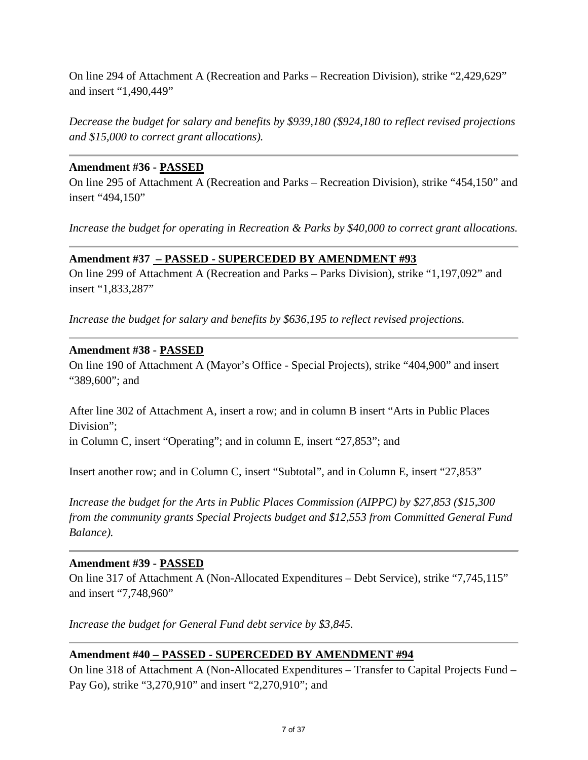On line 294 of Attachment A (Recreation and Parks – Recreation Division), strike "2,429,629" and insert "1,490,449"

*Decrease the budget for salary and benefits by \$939,180 (\$924,180 to reflect revised projections and \$15,000 to correct grant allocations).* 

## **Amendment #36 - PASSED**

On line 295 of Attachment A (Recreation and Parks – Recreation Division), strike "454,150" and insert "494,150"

*Increase the budget for operating in Recreation & Parks by \$40,000 to correct grant allocations.* 

## **Amendment #37 – PASSED - SUPERCEDED BY AMENDMENT #93**

On line 299 of Attachment A (Recreation and Parks – Parks Division), strike "1,197,092" and insert "1,833,287"

*Increase the budget for salary and benefits by \$636,195 to reflect revised projections.* 

## **Amendment #38 - PASSED**

On line 190 of Attachment A (Mayor's Office - Special Projects), strike "404,900" and insert "389,600"; and

After line 302 of Attachment A, insert a row; and in column B insert "Arts in Public Places Division";

in Column C, insert "Operating"; and in column E, insert "27,853"; and

Insert another row; and in Column C, insert "Subtotal", and in Column E, insert "27,853"

*Increase the budget for the Arts in Public Places Commission (AIPPC) by \$27,853 (\$15,300 from the community grants Special Projects budget and \$12,553 from Committed General Fund Balance).* 

# **Amendment #39 - PASSED**

On line 317 of Attachment A (Non-Allocated Expenditures – Debt Service), strike "7,745,115" and insert "7,748,960"

*Increase the budget for General Fund debt service by \$3,845.* 

# **Amendment #40 – PASSED - SUPERCEDED BY AMENDMENT #94**

On line 318 of Attachment A (Non-Allocated Expenditures – Transfer to Capital Projects Fund – Pay Go), strike "3,270,910" and insert "2,270,910"; and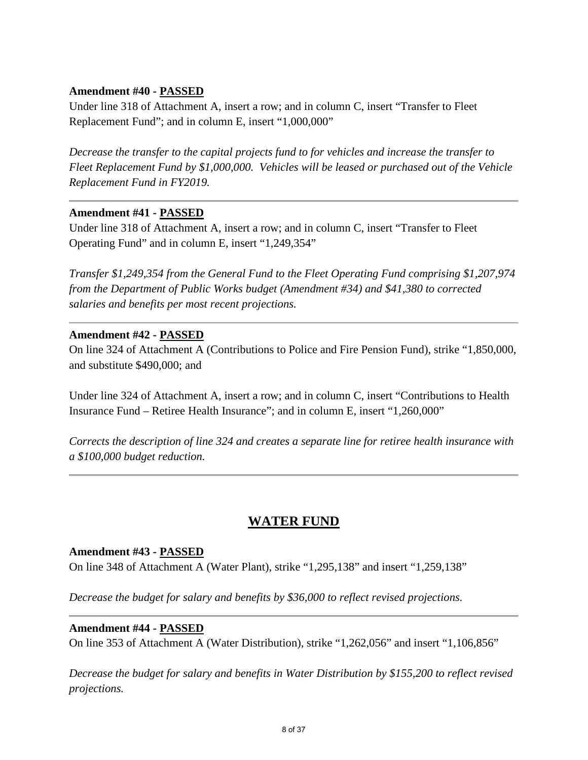## **Amendment #40 - PASSED**

Under line 318 of Attachment A, insert a row; and in column C, insert "Transfer to Fleet Replacement Fund"; and in column E, insert "1,000,000"

*Decrease the transfer to the capital projects fund to for vehicles and increase the transfer to Fleet Replacement Fund by \$1,000,000. Vehicles will be leased or purchased out of the Vehicle Replacement Fund in FY2019.* 

## **Amendment #41 - PASSED**

Under line 318 of Attachment A, insert a row; and in column C, insert "Transfer to Fleet Operating Fund" and in column E, insert "1,249,354"

*Transfer \$1,249,354 from the General Fund to the Fleet Operating Fund comprising \$1,207,974 from the Department of Public Works budget (Amendment #34) and \$41,380 to corrected salaries and benefits per most recent projections.* 

## **Amendment #42 - PASSED**

On line 324 of Attachment A (Contributions to Police and Fire Pension Fund), strike "1,850,000, and substitute \$490,000; and

Under line 324 of Attachment A, insert a row; and in column C, insert "Contributions to Health Insurance Fund – Retiree Health Insurance"; and in column E, insert "1,260,000"

*Corrects the description of line 324 and creates a separate line for retiree health insurance with a \$100,000 budget reduction.* 

# **WATER FUND**

## **Amendment #43 - PASSED**

On line 348 of Attachment A (Water Plant), strike "1,295,138" and insert "1,259,138"

*Decrease the budget for salary and benefits by \$36,000 to reflect revised projections.* 

## **Amendment #44 - PASSED**

On line 353 of Attachment A (Water Distribution), strike "1,262,056" and insert "1,106,856"

*Decrease the budget for salary and benefits in Water Distribution by \$155,200 to reflect revised projections.*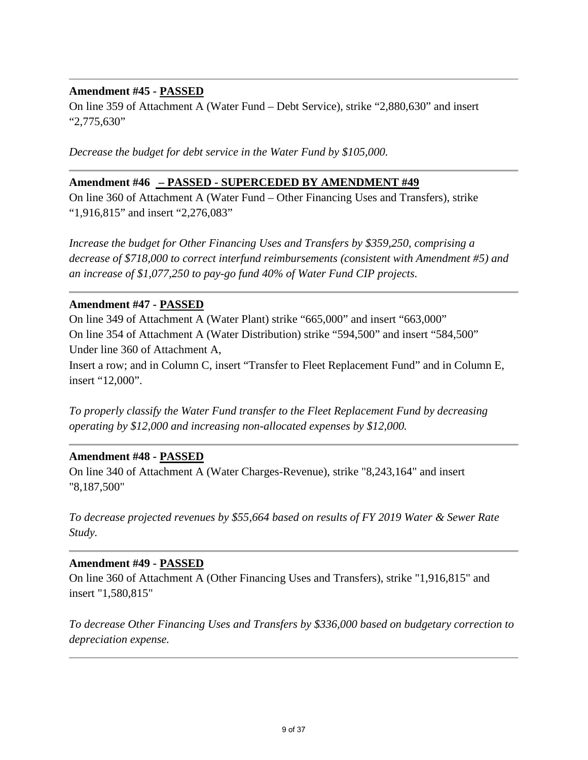## **Amendment #45 - PASSED**

On line 359 of Attachment A (Water Fund – Debt Service), strike "2,880,630" and insert "2,775,630"

*Decrease the budget for debt service in the Water Fund by \$105,000.* 

#### **Amendment #46 – PASSED - SUPERCEDED BY AMENDMENT #49**

On line 360 of Attachment A (Water Fund – Other Financing Uses and Transfers), strike "1,916,815" and insert "2,276,083"

*Increase the budget for Other Financing Uses and Transfers by \$359,250, comprising a decrease of \$718,000 to correct interfund reimbursements (consistent with Amendment #5) and an increase of \$1,077,250 to pay-go fund 40% of Water Fund CIP projects.*

#### **Amendment #47 - PASSED**

On line 349 of Attachment A (Water Plant) strike "665,000" and insert "663,000" On line 354 of Attachment A (Water Distribution) strike "594,500" and insert "584,500" Under line 360 of Attachment A,

Insert a row; and in Column C, insert "Transfer to Fleet Replacement Fund" and in Column E, insert "12,000".

*To properly classify the Water Fund transfer to the Fleet Replacement Fund by decreasing operating by \$12,000 and increasing non-allocated expenses by \$12,000.* 

#### **Amendment #48 - PASSED**

On line 340 of Attachment A (Water Charges-Revenue), strike "8,243,164" and insert "8,187,500"

*To decrease projected revenues by \$55,664 based on results of FY 2019 Water & Sewer Rate Study.* 

## **Amendment #49 - PASSED**

On line 360 of Attachment A (Other Financing Uses and Transfers), strike "1,916,815" and insert "1,580,815"

*To decrease Other Financing Uses and Transfers by \$336,000 based on budgetary correction to depreciation expense.*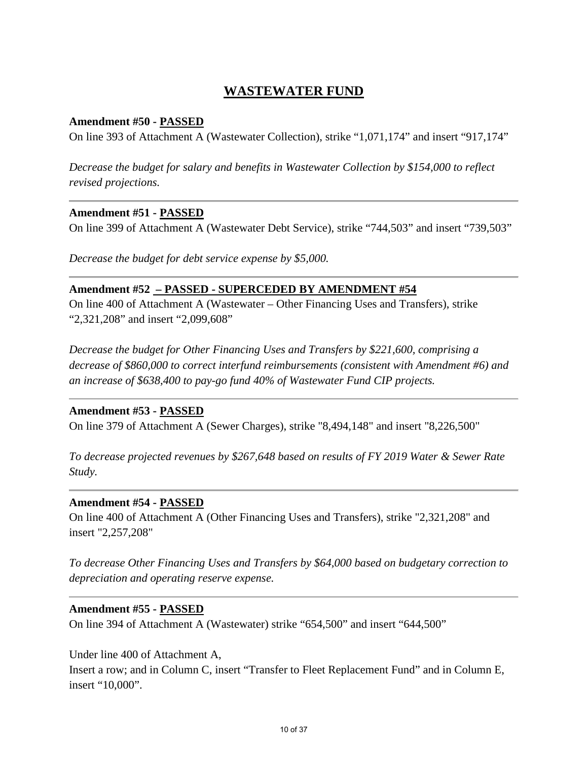# **WASTEWATER FUND**

# **Amendment #50 - PASSED**

On line 393 of Attachment A (Wastewater Collection), strike "1,071,174" and insert "917,174"

*Decrease the budget for salary and benefits in Wastewater Collection by \$154,000 to reflect revised projections.* 

## **Amendment #51 - PASSED**

On line 399 of Attachment A (Wastewater Debt Service), strike "744,503" and insert "739,503"

*Decrease the budget for debt service expense by \$5,000.* 

## **Amendment #52 – PASSED - SUPERCEDED BY AMENDMENT #54**

On line 400 of Attachment A (Wastewater – Other Financing Uses and Transfers), strike "2,321,208" and insert "2,099,608"

*Decrease the budget for Other Financing Uses and Transfers by \$221,600, comprising a decrease of \$860,000 to correct interfund reimbursements (consistent with Amendment #6) and an increase of \$638,400 to pay-go fund 40% of Wastewater Fund CIP projects.* 

## **Amendment #53 - PASSED**

On line 379 of Attachment A (Sewer Charges), strike "8,494,148" and insert "8,226,500"

*To decrease projected revenues by \$267,648 based on results of FY 2019 Water & Sewer Rate Study.* 

## **Amendment #54 - PASSED**

On line 400 of Attachment A (Other Financing Uses and Transfers), strike "2,321,208" and insert "2,257,208"

*To decrease Other Financing Uses and Transfers by \$64,000 based on budgetary correction to depreciation and operating reserve expense.* 

## **Amendment #55 - PASSED**

On line 394 of Attachment A (Wastewater) strike "654,500" and insert "644,500"

Under line 400 of Attachment A,

Insert a row; and in Column C, insert "Transfer to Fleet Replacement Fund" and in Column E, insert "10,000".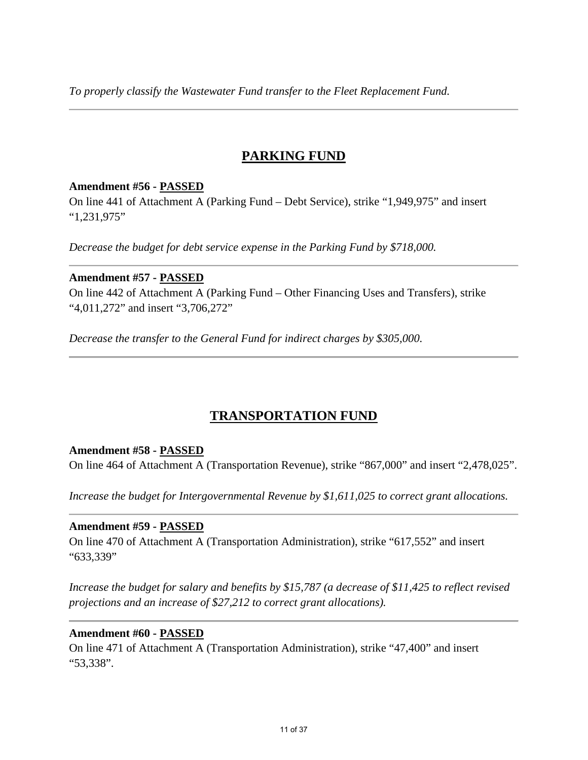*To properly classify the Wastewater Fund transfer to the Fleet Replacement Fund.* 

# **PARKING FUND**

# **Amendment #56 - PASSED**

On line 441 of Attachment A (Parking Fund – Debt Service), strike "1,949,975" and insert "1,231,975"

*Decrease the budget for debt service expense in the Parking Fund by \$718,000.* 

## **Amendment #57 - PASSED**

On line 442 of Attachment A (Parking Fund – Other Financing Uses and Transfers), strike "4,011,272" and insert "3,706,272"

*Decrease the transfer to the General Fund for indirect charges by \$305,000.* 

# **TRANSPORTATION FUND**

# **Amendment #58 - PASSED**

On line 464 of Attachment A (Transportation Revenue), strike "867,000" and insert "2,478,025".

*Increase the budget for Intergovernmental Revenue by \$1,611,025 to correct grant allocations.* 

## **Amendment #59 - PASSED**

On line 470 of Attachment A (Transportation Administration), strike "617,552" and insert "633,339"

*Increase the budget for salary and benefits by \$15,787 (a decrease of \$11,425 to reflect revised projections and an increase of \$27,212 to correct grant allocations).* 

## **Amendment #60 - PASSED**

On line 471 of Attachment A (Transportation Administration), strike "47,400" and insert "53,338".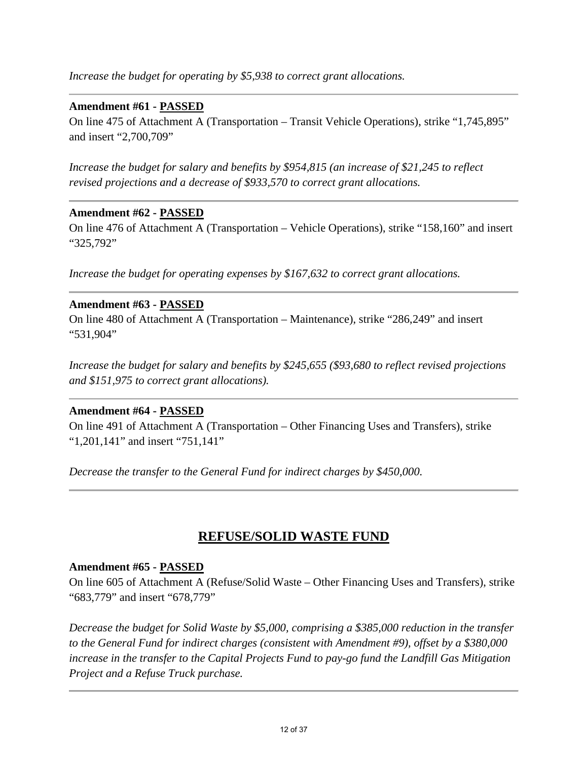*Increase the budget for operating by \$5,938 to correct grant allocations.* 

# **Amendment #61 - PASSED**

On line 475 of Attachment A (Transportation – Transit Vehicle Operations), strike "1,745,895" and insert "2,700,709"

*Increase the budget for salary and benefits by \$954,815 (an increase of \$21,245 to reflect revised projections and a decrease of \$933,570 to correct grant allocations.*

## **Amendment #62 - PASSED**

On line 476 of Attachment A (Transportation – Vehicle Operations), strike "158,160" and insert "325,792"

*Increase the budget for operating expenses by \$167,632 to correct grant allocations.* 

## **Amendment #63 - PASSED**

On line 480 of Attachment A (Transportation – Maintenance), strike "286,249" and insert "531,904"

*Increase the budget for salary and benefits by \$245,655 (\$93,680 to reflect revised projections and \$151,975 to correct grant allocations).* 

# **Amendment #64 - PASSED**

On line 491 of Attachment A (Transportation – Other Financing Uses and Transfers), strike "1,201,141" and insert "751,141"

*Decrease the transfer to the General Fund for indirect charges by \$450,000.* 

# **REFUSE/SOLID WASTE FUND**

## **Amendment #65 - PASSED**

On line 605 of Attachment A (Refuse/Solid Waste – Other Financing Uses and Transfers), strike "683,779" and insert "678,779"

*Decrease the budget for Solid Waste by \$5,000, comprising a \$385,000 reduction in the transfer to the General Fund for indirect charges (consistent with Amendment #9), offset by a \$380,000 increase in the transfer to the Capital Projects Fund to pay-go fund the Landfill Gas Mitigation Project and a Refuse Truck purchase.*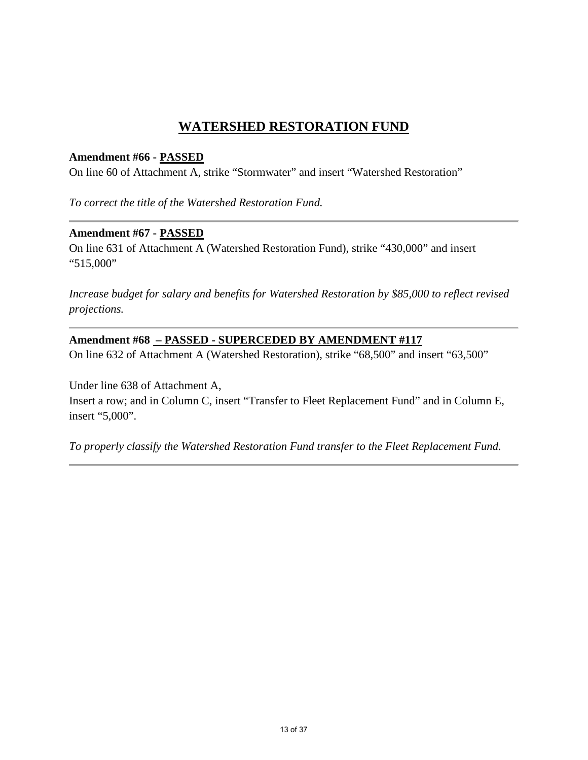# **WATERSHED RESTORATION FUND**

## **Amendment #66 - PASSED**

On line 60 of Attachment A, strike "Stormwater" and insert "Watershed Restoration"

*To correct the title of the Watershed Restoration Fund.* 

## **Amendment #67 - PASSED**

On line 631 of Attachment A (Watershed Restoration Fund), strike "430,000" and insert "515,000"

*Increase budget for salary and benefits for Watershed Restoration by \$85,000 to reflect revised projections.* 

## **Amendment #68 – PASSED - SUPERCEDED BY AMENDMENT #117**

On line 632 of Attachment A (Watershed Restoration), strike "68,500" and insert "63,500"

Under line 638 of Attachment A, Insert a row; and in Column C, insert "Transfer to Fleet Replacement Fund" and in Column E, insert "5,000".

*To properly classify the Watershed Restoration Fund transfer to the Fleet Replacement Fund.*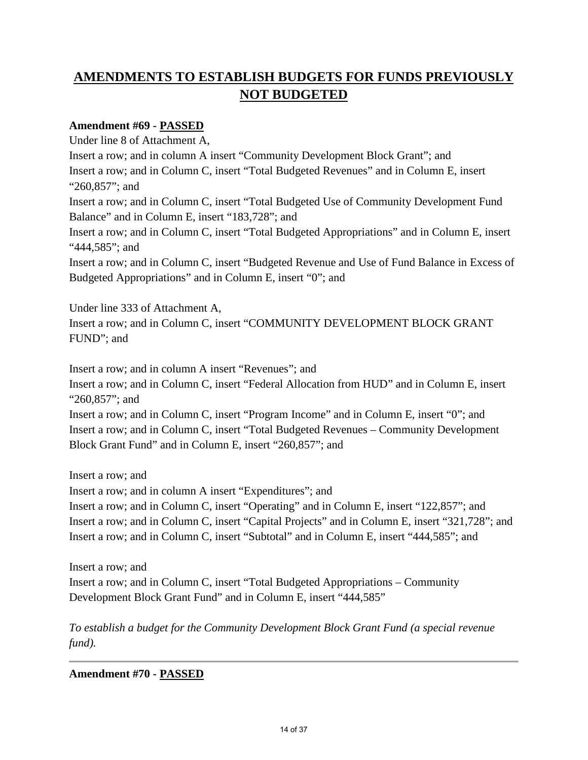# **AMENDMENTS TO ESTABLISH BUDGETS FOR FUNDS PREVIOUSLY NOT BUDGETED**

# **Amendment #69 - PASSED**

Under line 8 of Attachment A, Insert a row; and in column A insert "Community Development Block Grant"; and Insert a row; and in Column C, insert "Total Budgeted Revenues" and in Column E, insert "260,857"; and Insert a row; and in Column C, insert "Total Budgeted Use of Community Development Fund Balance" and in Column E, insert "183,728"; and Insert a row; and in Column C, insert "Total Budgeted Appropriations" and in Column E, insert "444,585"; and Insert a row; and in Column C, insert "Budgeted Revenue and Use of Fund Balance in Excess of Budgeted Appropriations" and in Column E, insert "0"; and

Under line 333 of Attachment A, Insert a row; and in Column C, insert "COMMUNITY DEVELOPMENT BLOCK GRANT FUND"; and

Insert a row; and in column A insert "Revenues"; and

Insert a row; and in Column C, insert "Federal Allocation from HUD" and in Column E, insert "260,857"; and

Insert a row; and in Column C, insert "Program Income" and in Column E, insert "0"; and Insert a row; and in Column C, insert "Total Budgeted Revenues – Community Development Block Grant Fund" and in Column E, insert "260,857"; and

Insert a row; and

Insert a row; and in column A insert "Expenditures"; and

Insert a row; and in Column C, insert "Operating" and in Column E, insert "122,857"; and Insert a row; and in Column C, insert "Capital Projects" and in Column E, insert "321,728"; and Insert a row; and in Column C, insert "Subtotal" and in Column E, insert "444,585"; and

Insert a row; and Insert a row; and in Column C, insert "Total Budgeted Appropriations – Community Development Block Grant Fund" and in Column E, insert "444,585"

*To establish a budget for the Community Development Block Grant Fund (a special revenue fund).* 

**Amendment #70 - PASSED**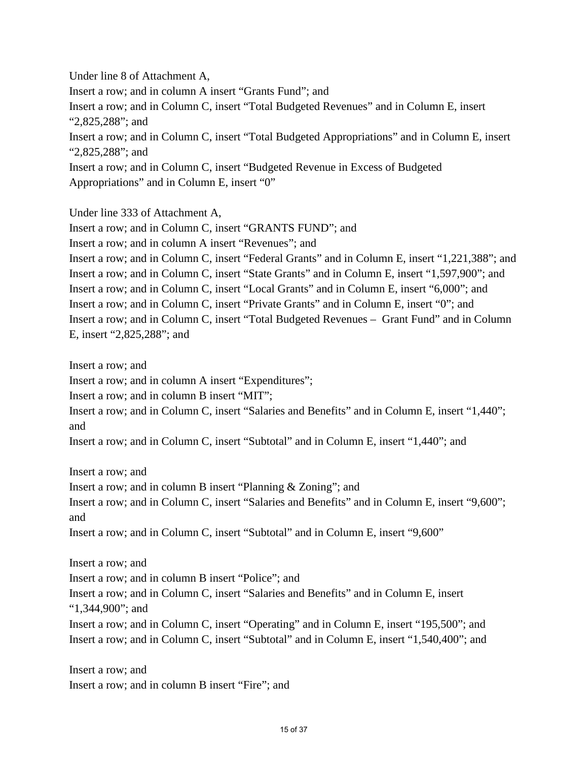Under line 8 of Attachment A, Insert a row; and in column A insert "Grants Fund"; and Insert a row; and in Column C, insert "Total Budgeted Revenues" and in Column E, insert "2,825,288"; and Insert a row; and in Column C, insert "Total Budgeted Appropriations" and in Column E, insert "2,825,288"; and Insert a row; and in Column C, insert "Budgeted Revenue in Excess of Budgeted Appropriations" and in Column E, insert "0"

Under line 333 of Attachment A,

Insert a row; and in Column C, insert "GRANTS FUND"; and

Insert a row; and in column A insert "Revenues"; and

Insert a row; and in Column C, insert "Federal Grants" and in Column E, insert "1,221,388"; and Insert a row; and in Column C, insert "State Grants" and in Column E, insert "1,597,900"; and Insert a row; and in Column C, insert "Local Grants" and in Column E, insert "6,000"; and Insert a row; and in Column C, insert "Private Grants" and in Column E, insert "0"; and Insert a row; and in Column C, insert "Total Budgeted Revenues – Grant Fund" and in Column E, insert "2,825,288"; and

Insert a row; and Insert a row; and in column A insert "Expenditures"; Insert a row; and in column B insert "MIT"; Insert a row; and in Column C, insert "Salaries and Benefits" and in Column E, insert "1,440"; and

Insert a row; and in Column C, insert "Subtotal" and in Column E, insert "1,440"; and

Insert a row; and Insert a row; and in column B insert "Planning & Zoning"; and Insert a row; and in Column C, insert "Salaries and Benefits" and in Column E, insert "9,600"; and Insert a row; and in Column C, insert "Subtotal" and in Column E, insert "9,600"

Insert a row; and Insert a row; and in column B insert "Police"; and Insert a row; and in Column C, insert "Salaries and Benefits" and in Column E, insert "1,344,900"; and Insert a row; and in Column C, insert "Operating" and in Column E, insert "195,500"; and Insert a row; and in Column C, insert "Subtotal" and in Column E, insert "1,540,400"; and

Insert a row; and Insert a row; and in column B insert "Fire"; and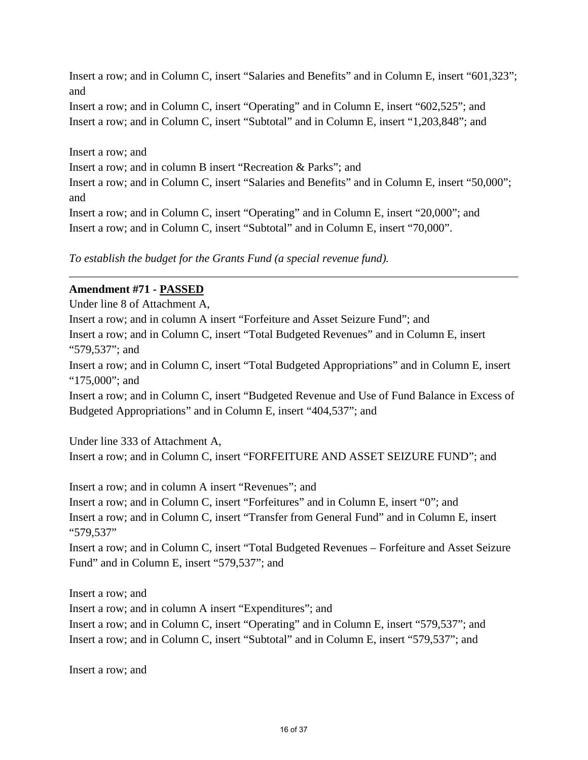Insert a row; and in Column C, insert "Salaries and Benefits" and in Column E, insert "601,323"; and

Insert a row; and in Column C, insert "Operating" and in Column E, insert "602,525"; and Insert a row; and in Column C, insert "Subtotal" and in Column E, insert "1,203,848"; and

Insert a row; and Insert a row; and in column B insert "Recreation & Parks"; and Insert a row; and in Column C, insert "Salaries and Benefits" and in Column E, insert "50,000"; and Insert a row; and in Column C, insert "Operating" and in Column E, insert "20,000"; and Insert a row; and in Column C, insert "Subtotal" and in Column E, insert "70,000".

*To establish the budget for the Grants Fund (a special revenue fund).*

# **Amendment #71 - PASSED**

Under line 8 of Attachment A, Insert a row; and in column A insert "Forfeiture and Asset Seizure Fund"; and Insert a row; and in Column C, insert "Total Budgeted Revenues" and in Column E, insert "579,537"; and Insert a row; and in Column C, insert "Total Budgeted Appropriations" and in Column E, insert "175,000"; and

Insert a row; and in Column C, insert "Budgeted Revenue and Use of Fund Balance in Excess of Budgeted Appropriations" and in Column E, insert "404,537"; and

Under line 333 of Attachment A, Insert a row; and in Column C, insert "FORFEITURE AND ASSET SEIZURE FUND"; and

Insert a row; and in column A insert "Revenues"; and Insert a row; and in Column C, insert "Forfeitures" and in Column E, insert "0"; and Insert a row; and in Column C, insert "Transfer from General Fund" and in Column E, insert "579,537"

Insert a row; and in Column C, insert "Total Budgeted Revenues – Forfeiture and Asset Seizure Fund" and in Column E, insert "579,537"; and

Insert a row; and Insert a row; and in column A insert "Expenditures"; and Insert a row; and in Column C, insert "Operating" and in Column E, insert "579,537"; and Insert a row; and in Column C, insert "Subtotal" and in Column E, insert "579,537"; and

Insert a row; and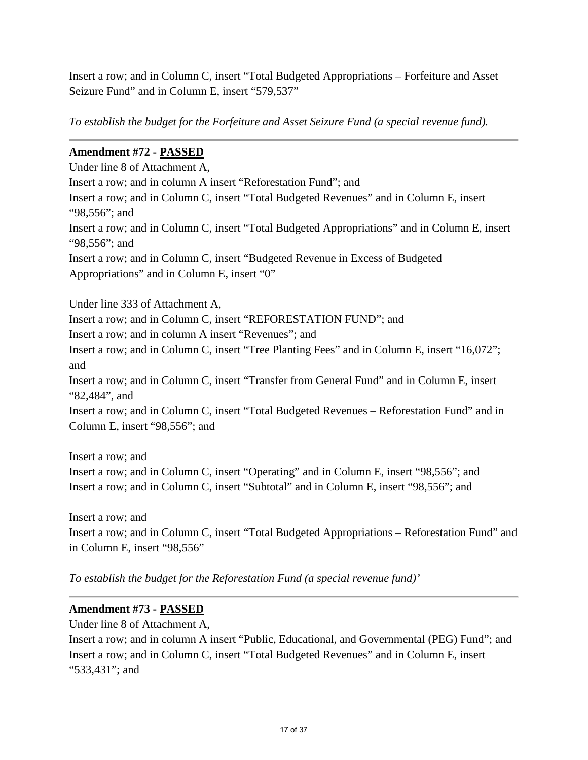Insert a row; and in Column C, insert "Total Budgeted Appropriations – Forfeiture and Asset Seizure Fund" and in Column E, insert "579,537"

*To establish the budget for the Forfeiture and Asset Seizure Fund (a special revenue fund).* 

# **Amendment #72 - PASSED**

Under line 8 of Attachment A, Insert a row; and in column A insert "Reforestation Fund"; and Insert a row; and in Column C, insert "Total Budgeted Revenues" and in Column E, insert "98,556"; and Insert a row; and in Column C, insert "Total Budgeted Appropriations" and in Column E, insert "98,556"; and Insert a row; and in Column C, insert "Budgeted Revenue in Excess of Budgeted Appropriations" and in Column E, insert "0"

Under line 333 of Attachment A, Insert a row; and in Column C, insert "REFORESTATION FUND"; and Insert a row; and in column A insert "Revenues"; and Insert a row; and in Column C, insert "Tree Planting Fees" and in Column E, insert "16,072"; and Insert a row; and in Column C, insert "Transfer from General Fund" and in Column E, insert "82,484", and Insert a row; and in Column C, insert "Total Budgeted Revenues – Reforestation Fund" and in Column E, insert "98,556"; and Insert a row; and

Insert a row; and in Column C, insert "Operating" and in Column E, insert "98,556"; and Insert a row; and in Column C, insert "Subtotal" and in Column E, insert "98,556"; and

Insert a row; and Insert a row; and in Column C, insert "Total Budgeted Appropriations – Reforestation Fund" and in Column E, insert "98,556"

*To establish the budget for the Reforestation Fund (a special revenue fund)'* 

# **Amendment #73 - PASSED**

Under line 8 of Attachment A,

Insert a row; and in column A insert "Public, Educational, and Governmental (PEG) Fund"; and Insert a row; and in Column C, insert "Total Budgeted Revenues" and in Column E, insert "533,431"; and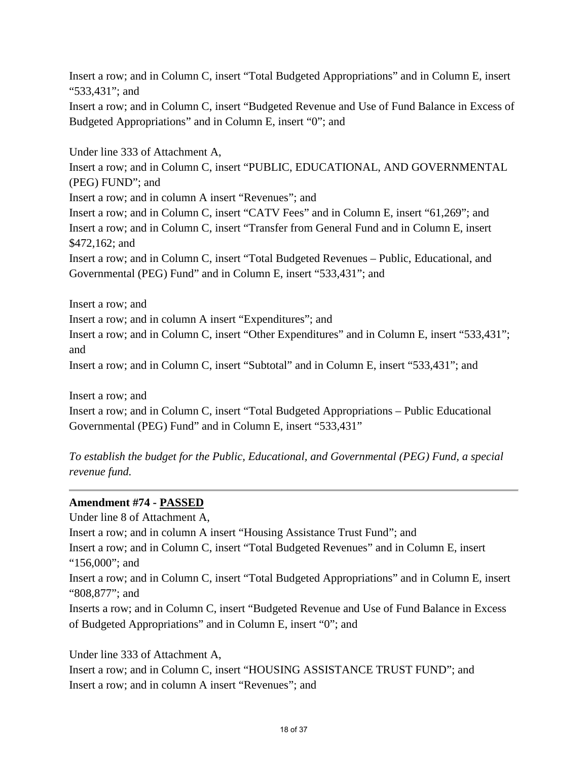Insert a row; and in Column C, insert "Total Budgeted Appropriations" and in Column E, insert "533,431"; and

Insert a row; and in Column C, insert "Budgeted Revenue and Use of Fund Balance in Excess of Budgeted Appropriations" and in Column E, insert "0"; and

Under line 333 of Attachment A, Insert a row; and in Column C, insert "PUBLIC, EDUCATIONAL, AND GOVERNMENTAL (PEG) FUND"; and Insert a row; and in column A insert "Revenues"; and Insert a row; and in Column C, insert "CATV Fees" and in Column E, insert "61,269"; and Insert a row; and in Column C, insert "Transfer from General Fund and in Column E, insert \$472,162; and Insert a row; and in Column C, insert "Total Budgeted Revenues – Public, Educational, and Governmental (PEG) Fund" and in Column E, insert "533,431"; and

Insert a row; and

Insert a row; and in column A insert "Expenditures"; and

Insert a row; and in Column C, insert "Other Expenditures" and in Column E, insert "533,431"; and

Insert a row; and in Column C, insert "Subtotal" and in Column E, insert "533,431"; and

Insert a row; and Insert a row; and in Column C, insert "Total Budgeted Appropriations – Public Educational Governmental (PEG) Fund" and in Column E, insert "533,431"

*To establish the budget for the Public, Educational, and Governmental (PEG) Fund, a special revenue fund.* 

# **Amendment #74 - PASSED**

Under line 8 of Attachment A, Insert a row; and in column A insert "Housing Assistance Trust Fund"; and Insert a row; and in Column C, insert "Total Budgeted Revenues" and in Column E, insert "156,000"; and Insert a row; and in Column C, insert "Total Budgeted Appropriations" and in Column E, insert "808,877"; and Inserts a row; and in Column C, insert "Budgeted Revenue and Use of Fund Balance in Excess of Budgeted Appropriations" and in Column E, insert "0"; and

Under line 333 of Attachment A, Insert a row; and in Column C, insert "HOUSING ASSISTANCE TRUST FUND"; and Insert a row; and in column A insert "Revenues"; and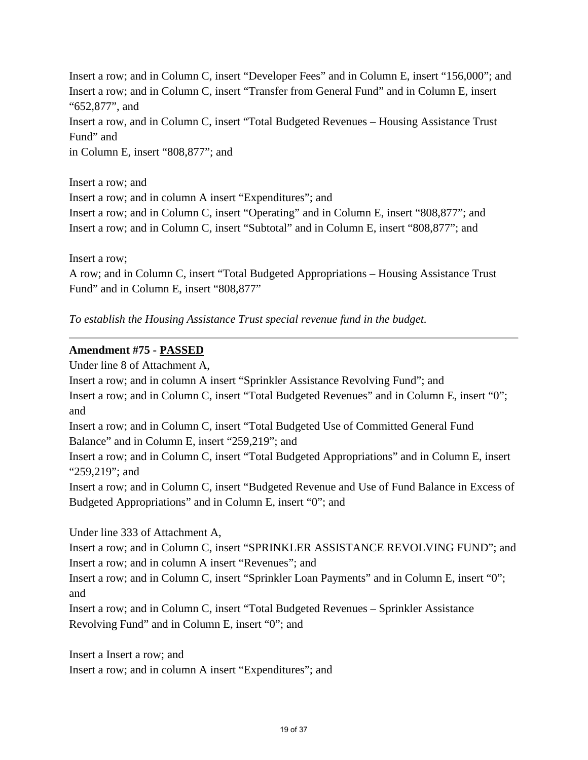Insert a row; and in Column C, insert "Developer Fees" and in Column E, insert "156,000"; and Insert a row; and in Column C, insert "Transfer from General Fund" and in Column E, insert "652,877", and Insert a row, and in Column C, insert "Total Budgeted Revenues – Housing Assistance Trust Fund" and

in Column E, insert "808,877"; and

Insert a row; and Insert a row; and in column A insert "Expenditures"; and Insert a row; and in Column C, insert "Operating" and in Column E, insert "808,877"; and Insert a row; and in Column C, insert "Subtotal" and in Column E, insert "808,877"; and

Insert a row;

A row; and in Column C, insert "Total Budgeted Appropriations – Housing Assistance Trust Fund" and in Column E, insert "808,877"

*To establish the Housing Assistance Trust special revenue fund in the budget.* 

# **Amendment #75 - PASSED**

Under line 8 of Attachment A,

Insert a row; and in column A insert "Sprinkler Assistance Revolving Fund"; and Insert a row; and in Column C, insert "Total Budgeted Revenues" and in Column E, insert "0"; and Insert a row; and in Column C, insert "Total Budgeted Use of Committed General Fund Balance" and in Column E, insert "259,219"; and Insert a row; and in Column C, insert "Total Budgeted Appropriations" and in Column E, insert "259,219"; and Insert a row; and in Column C, insert "Budgeted Revenue and Use of Fund Balance in Excess of Budgeted Appropriations" and in Column E, insert "0"; and Under line 333 of Attachment A, Insert a row; and in Column C, insert "SPRINKLER ASSISTANCE REVOLVING FUND"; and Insert a row; and in column A insert "Revenues"; and

Insert a row; and in Column C, insert "Sprinkler Loan Payments" and in Column E, insert "0"; and

Insert a row; and in Column C, insert "Total Budgeted Revenues – Sprinkler Assistance Revolving Fund" and in Column E, insert "0"; and

Insert a Insert a row; and Insert a row; and in column A insert "Expenditures"; and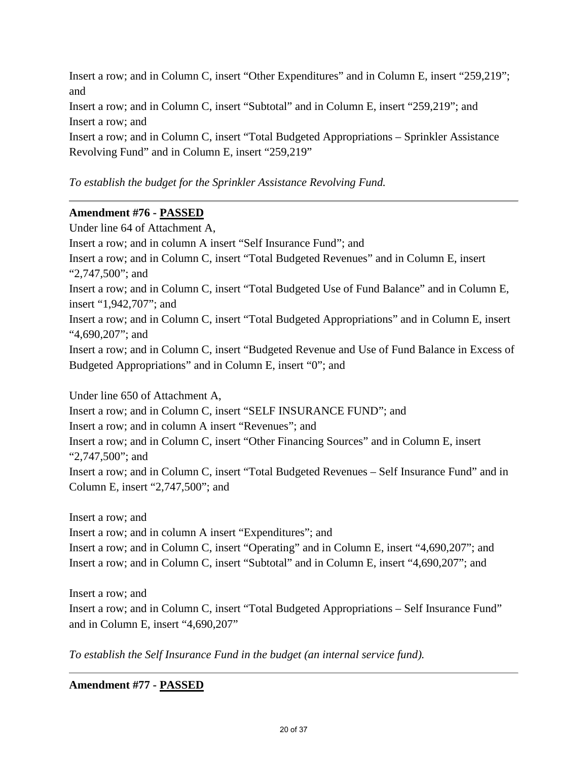Insert a row; and in Column C, insert "Other Expenditures" and in Column E, insert "259,219"; and Insert a row; and in Column C, insert "Subtotal" and in Column E, insert "259,219"; and Insert a row; and Insert a row; and in Column C, insert "Total Budgeted Appropriations – Sprinkler Assistance Revolving Fund" and in Column E, insert "259,219"

# *To establish the budget for the Sprinkler Assistance Revolving Fund.*

# **Amendment #76 - PASSED**

Under line 64 of Attachment A, Insert a row; and in column A insert "Self Insurance Fund"; and Insert a row; and in Column C, insert "Total Budgeted Revenues" and in Column E, insert "2,747,500"; and Insert a row; and in Column C, insert "Total Budgeted Use of Fund Balance" and in Column E, insert "1,942,707"; and Insert a row; and in Column C, insert "Total Budgeted Appropriations" and in Column E, insert "4,690,207"; and Insert a row; and in Column C, insert "Budgeted Revenue and Use of Fund Balance in Excess of Budgeted Appropriations" and in Column E, insert "0"; and

Under line 650 of Attachment A, Insert a row; and in Column C, insert "SELF INSURANCE FUND"; and Insert a row; and in column A insert "Revenues"; and Insert a row; and in Column C, insert "Other Financing Sources" and in Column E, insert "2,747,500"; and Insert a row; and in Column C, insert "Total Budgeted Revenues – Self Insurance Fund" and in Column E, insert "2,747,500"; and

Insert a row; and Insert a row; and in column A insert "Expenditures"; and Insert a row; and in Column C, insert "Operating" and in Column E, insert "4,690,207"; and Insert a row; and in Column C, insert "Subtotal" and in Column E, insert "4,690,207"; and

Insert a row; and Insert a row; and in Column C, insert "Total Budgeted Appropriations – Self Insurance Fund" and in Column E, insert "4,690,207"

*To establish the Self Insurance Fund in the budget (an internal service fund).* 

**Amendment #77 - PASSED**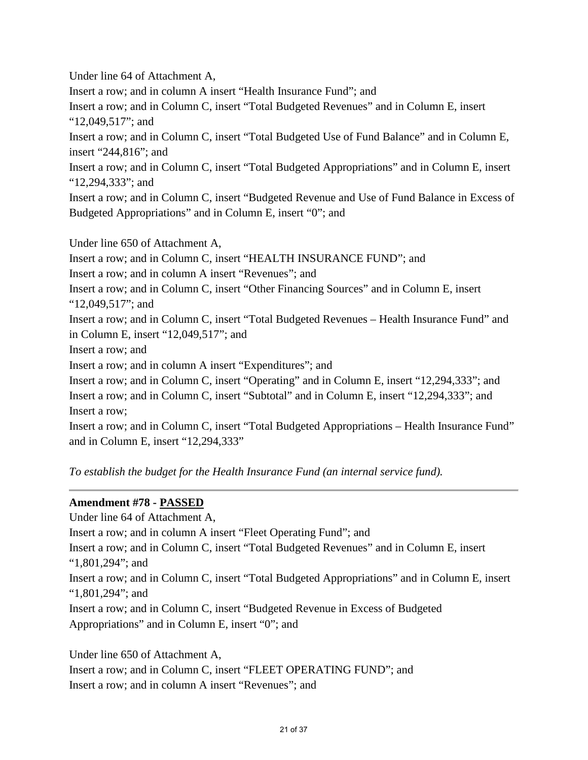Under line 64 of Attachment A, Insert a row; and in column A insert "Health Insurance Fund"; and Insert a row; and in Column C, insert "Total Budgeted Revenues" and in Column E, insert "12,049,517"; and Insert a row; and in Column C, insert "Total Budgeted Use of Fund Balance" and in Column E, insert "244,816"; and Insert a row; and in Column C, insert "Total Budgeted Appropriations" and in Column E, insert "12,294,333"; and Insert a row; and in Column C, insert "Budgeted Revenue and Use of Fund Balance in Excess of Budgeted Appropriations" and in Column E, insert "0"; and Under line 650 of Attachment A, Insert a row; and in Column C, insert "HEALTH INSURANCE FUND"; and Insert a row; and in column A insert "Revenues"; and Insert a row; and in Column C, insert "Other Financing Sources" and in Column E, insert "12,049,517"; and Insert a row; and in Column C, insert "Total Budgeted Revenues – Health Insurance Fund" and in Column E, insert "12,049,517"; and Insert a row; and Insert a row; and in column A insert "Expenditures"; and Insert a row; and in Column C, insert "Operating" and in Column E, insert "12,294,333"; and Insert a row; and in Column C, insert "Subtotal" and in Column E, insert "12,294,333"; and Insert a row;

Insert a row; and in Column C, insert "Total Budgeted Appropriations – Health Insurance Fund" and in Column E, insert "12,294,333"

*To establish the budget for the Health Insurance Fund (an internal service fund).* 

# **Amendment #78 - PASSED**

Under line 64 of Attachment A, Insert a row; and in column A insert "Fleet Operating Fund"; and Insert a row; and in Column C, insert "Total Budgeted Revenues" and in Column E, insert "1,801,294"; and Insert a row; and in Column C, insert "Total Budgeted Appropriations" and in Column E, insert "1,801,294"; and Insert a row; and in Column C, insert "Budgeted Revenue in Excess of Budgeted Appropriations" and in Column E, insert "0"; and

Under line 650 of Attachment A, Insert a row; and in Column C, insert "FLEET OPERATING FUND"; and Insert a row; and in column A insert "Revenues"; and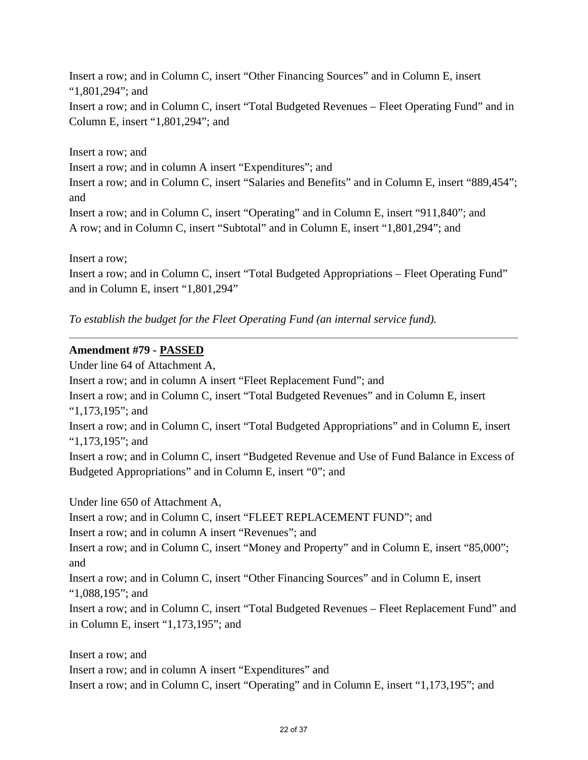Insert a row; and in Column C, insert "Other Financing Sources" and in Column E, insert "1,801,294"; and Insert a row; and in Column C, insert "Total Budgeted Revenues – Fleet Operating Fund" and in Column E, insert "1,801,294"; and

Insert a row; and Insert a row; and in column A insert "Expenditures"; and Insert a row; and in Column C, insert "Salaries and Benefits" and in Column E, insert "889,454"; and Insert a row; and in Column C, insert "Operating" and in Column E, insert "911,840"; and A row; and in Column C, insert "Subtotal" and in Column E, insert "1,801,294"; and

Insert a row;

Insert a row; and in Column C, insert "Total Budgeted Appropriations – Fleet Operating Fund" and in Column E, insert "1,801,294"

*To establish the budget for the Fleet Operating Fund (an internal service fund).* 

## **Amendment #79 - PASSED**

Under line 64 of Attachment A, Insert a row; and in column A insert "Fleet Replacement Fund"; and Insert a row; and in Column C, insert "Total Budgeted Revenues" and in Column E, insert "1,173,195"; and Insert a row; and in Column C, insert "Total Budgeted Appropriations" and in Column E, insert "1,173,195"; and Insert a row; and in Column C, insert "Budgeted Revenue and Use of Fund Balance in Excess of Budgeted Appropriations" and in Column E, insert "0"; and

Under line 650 of Attachment A, Insert a row; and in Column C, insert "FLEET REPLACEMENT FUND"; and Insert a row; and in column A insert "Revenues"; and Insert a row; and in Column C, insert "Money and Property" and in Column E, insert "85,000"; and Insert a row; and in Column C, insert "Other Financing Sources" and in Column E, insert "1,088,195"; and Insert a row; and in Column C, insert "Total Budgeted Revenues – Fleet Replacement Fund" and in Column E, insert "1,173,195"; and

Insert a row; and Insert a row; and in column A insert "Expenditures" and Insert a row; and in Column C, insert "Operating" and in Column E, insert "1,173,195"; and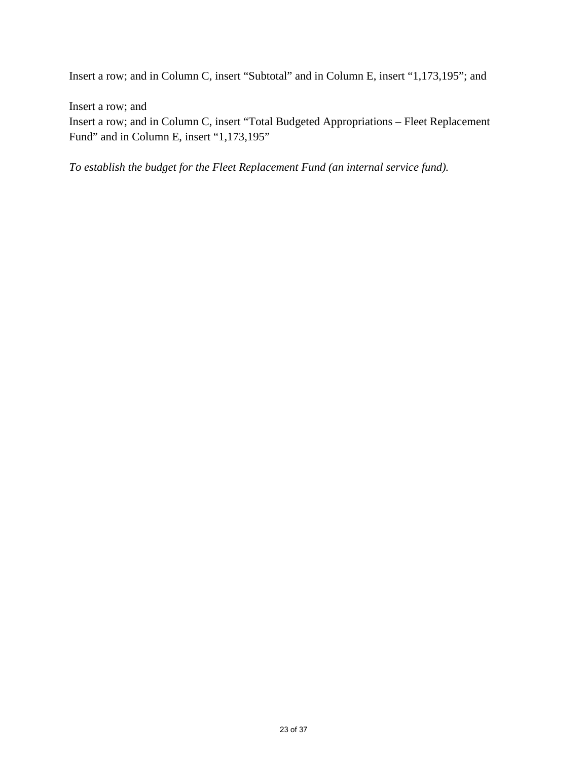Insert a row; and in Column C, insert "Subtotal" and in Column E, insert "1,173,195"; and

Insert a row; and

Insert a row; and in Column C, insert "Total Budgeted Appropriations – Fleet Replacement Fund" and in Column E, insert "1,173,195"

*To establish the budget for the Fleet Replacement Fund (an internal service fund).*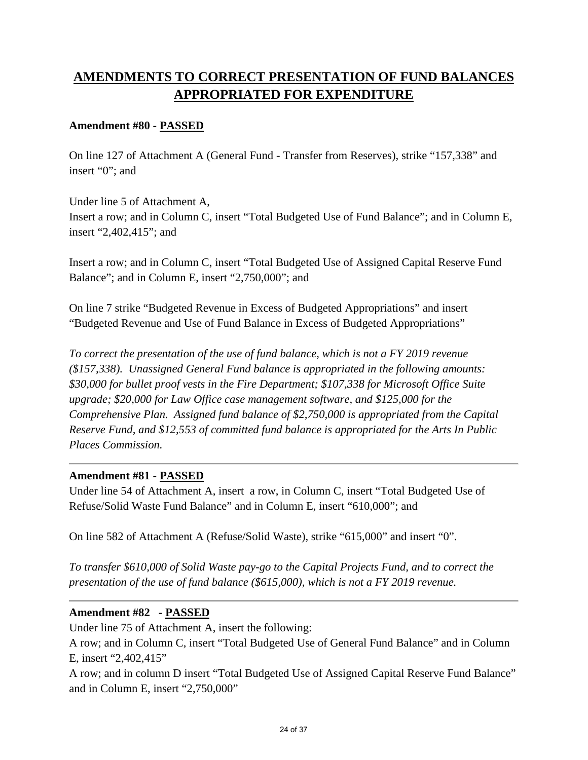# **AMENDMENTS TO CORRECT PRESENTATION OF FUND BALANCES APPROPRIATED FOR EXPENDITURE**

# **Amendment #80 - PASSED**

On line 127 of Attachment A (General Fund - Transfer from Reserves), strike "157,338" and insert "0"; and

Under line 5 of Attachment A, Insert a row; and in Column C, insert "Total Budgeted Use of Fund Balance"; and in Column E, insert "2,402,415"; and

Insert a row; and in Column C, insert "Total Budgeted Use of Assigned Capital Reserve Fund Balance"; and in Column E, insert "2,750,000"; and

On line 7 strike "Budgeted Revenue in Excess of Budgeted Appropriations" and insert "Budgeted Revenue and Use of Fund Balance in Excess of Budgeted Appropriations"

*To correct the presentation of the use of fund balance, which is not a FY 2019 revenue (\$157,338). Unassigned General Fund balance is appropriated in the following amounts: \$30,000 for bullet proof vests in the Fire Department; \$107,338 for Microsoft Office Suite upgrade; \$20,000 for Law Office case management software, and \$125,000 for the Comprehensive Plan. Assigned fund balance of \$2,750,000 is appropriated from the Capital Reserve Fund, and \$12,553 of committed fund balance is appropriated for the Arts In Public Places Commission.* 

## **Amendment #81 - PASSED**

Under line 54 of Attachment A, insert a row, in Column C, insert "Total Budgeted Use of Refuse/Solid Waste Fund Balance" and in Column E, insert "610,000"; and

On line 582 of Attachment A (Refuse/Solid Waste), strike "615,000" and insert "0".

*To transfer \$610,000 of Solid Waste pay-go to the Capital Projects Fund, and to correct the presentation of the use of fund balance (\$615,000), which is not a FY 2019 revenue.* 

# **Amendment #82 - PASSED**

Under line 75 of Attachment A, insert the following:

A row; and in Column C, insert "Total Budgeted Use of General Fund Balance" and in Column E, insert "2,402,415"

A row; and in column D insert "Total Budgeted Use of Assigned Capital Reserve Fund Balance" and in Column E, insert "2,750,000"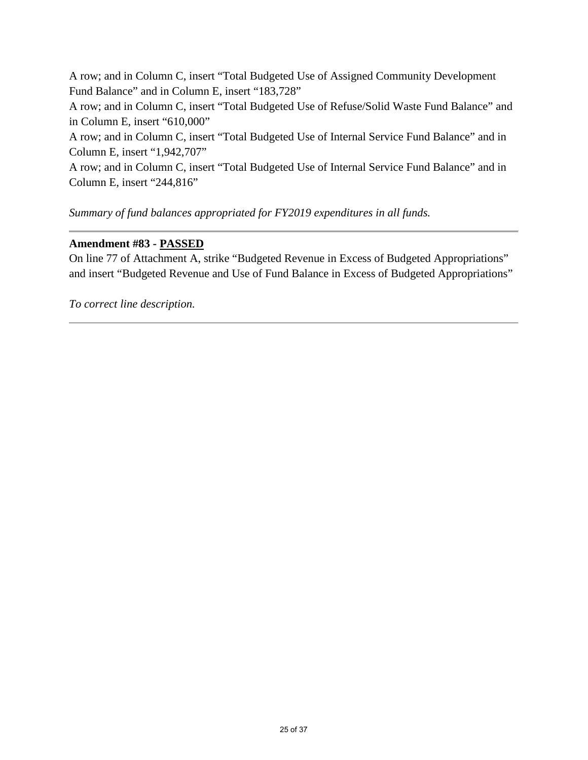A row; and in Column C, insert "Total Budgeted Use of Assigned Community Development Fund Balance" and in Column E, insert "183,728" A row; and in Column C, insert "Total Budgeted Use of Refuse/Solid Waste Fund Balance" and in Column E, insert "610,000" A row; and in Column C, insert "Total Budgeted Use of Internal Service Fund Balance" and in Column E, insert "1,942,707" A row; and in Column C, insert "Total Budgeted Use of Internal Service Fund Balance" and in Column E, insert "244,816"

*Summary of fund balances appropriated for FY2019 expenditures in all funds.* 

## **Amendment #83 - PASSED**

On line 77 of Attachment A, strike "Budgeted Revenue in Excess of Budgeted Appropriations" and insert "Budgeted Revenue and Use of Fund Balance in Excess of Budgeted Appropriations"

*To correct line description.*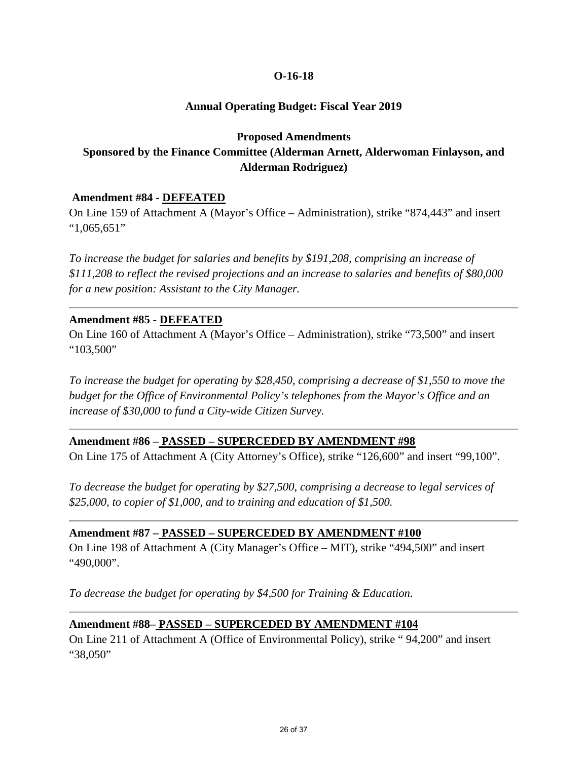# **Annual Operating Budget: Fiscal Year 2019**

## **Proposed Amendments**

# **Sponsored by the Finance Committee (Alderman Arnett, Alderwoman Finlayson, and Alderman Rodriguez)**

## **Amendment #84 - DEFEATED**

On Line 159 of Attachment A (Mayor's Office – Administration), strike "874,443" and insert "1,065,651"

*To increase the budget for salaries and benefits by \$191,208, comprising an increase of \$111,208 to reflect the revised projections and an increase to salaries and benefits of \$80,000 for a new position: Assistant to the City Manager.* 

## **Amendment #85 - DEFEATED**

On Line 160 of Attachment A (Mayor's Office – Administration), strike "73,500" and insert "103,500"

*To increase the budget for operating by \$28,450, comprising a decrease of \$1,550 to move the budget for the Office of Environmental Policy's telephones from the Mayor's Office and an increase of \$30,000 to fund a City-wide Citizen Survey.* 

## **Amendment #86 – PASSED – SUPERCEDED BY AMENDMENT #98**

On Line 175 of Attachment A (City Attorney's Office), strike "126,600" and insert "99,100".

*To decrease the budget for operating by \$27,500, comprising a decrease to legal services of \$25,000, to copier of \$1,000, and to training and education of \$1,500.* 

# **Amendment #87 – PASSED – SUPERCEDED BY AMENDMENT #100**

On Line 198 of Attachment A (City Manager's Office – MIT), strike "494,500" and insert "490,000".

*To decrease the budget for operating by \$4,500 for Training & Education.* 

# **Amendment #88– PASSED – SUPERCEDED BY AMENDMENT #104**

On Line 211 of Attachment A (Office of Environmental Policy), strike " 94,200" and insert "38,050"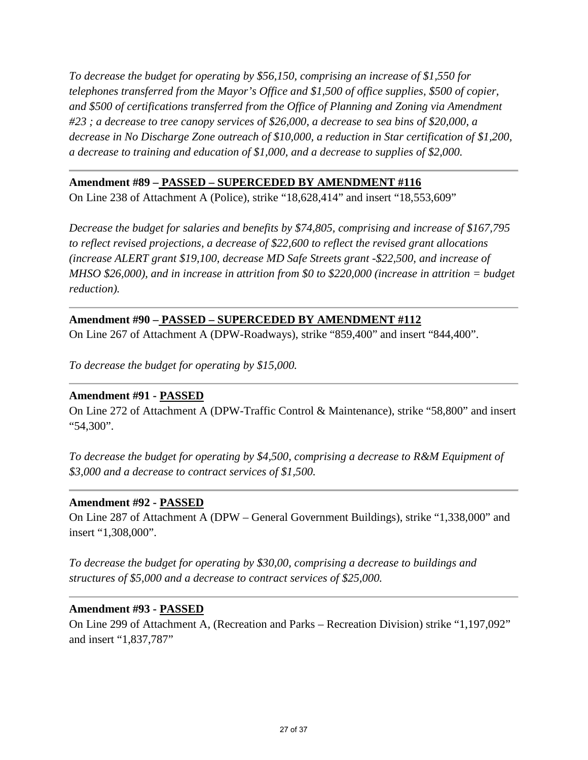*To decrease the budget for operating by \$56,150, comprising an increase of \$1,550 for telephones transferred from the Mayor's Office and \$1,500 of office supplies, \$500 of copier, and \$500 of certifications transferred from the Office of Planning and Zoning via Amendment #23 ; a decrease to tree canopy services of \$26,000, a decrease to sea bins of \$20,000, a decrease in No Discharge Zone outreach of \$10,000, a reduction in Star certification of \$1,200, a decrease to training and education of \$1,000, and a decrease to supplies of \$2,000.*

## **Amendment #89 – PASSED – SUPERCEDED BY AMENDMENT #116**

On Line 238 of Attachment A (Police), strike "18,628,414" and insert "18,553,609"

*Decrease the budget for salaries and benefits by \$74,805, comprising and increase of \$167,795 to reflect revised projections, a decrease of \$22,600 to reflect the revised grant allocations (increase ALERT grant \$19,100, decrease MD Safe Streets grant -\$22,500, and increase of MHSO \$26,000), and in increase in attrition from \$0 to \$220,000 (increase in attrition = budget reduction).*

# **Amendment #90 – PASSED – SUPERCEDED BY AMENDMENT #112**

On Line 267 of Attachment A (DPW-Roadways), strike "859,400" and insert "844,400".

*To decrease the budget for operating by \$15,000.* 

## **Amendment #91 - PASSED**

On Line 272 of Attachment A (DPW-Traffic Control & Maintenance), strike "58,800" and insert "54,300".

*To decrease the budget for operating by \$4,500, comprising a decrease to R&M Equipment of \$3,000 and a decrease to contract services of \$1,500.* 

## **Amendment #92 - PASSED**

On Line 287 of Attachment A (DPW – General Government Buildings), strike "1,338,000" and insert "1,308,000".

*To decrease the budget for operating by \$30,00, comprising a decrease to buildings and structures of \$5,000 and a decrease to contract services of \$25,000.* 

#### **Amendment #93 - PASSED**

On Line 299 of Attachment A, (Recreation and Parks – Recreation Division) strike "1,197,092" and insert "1,837,787"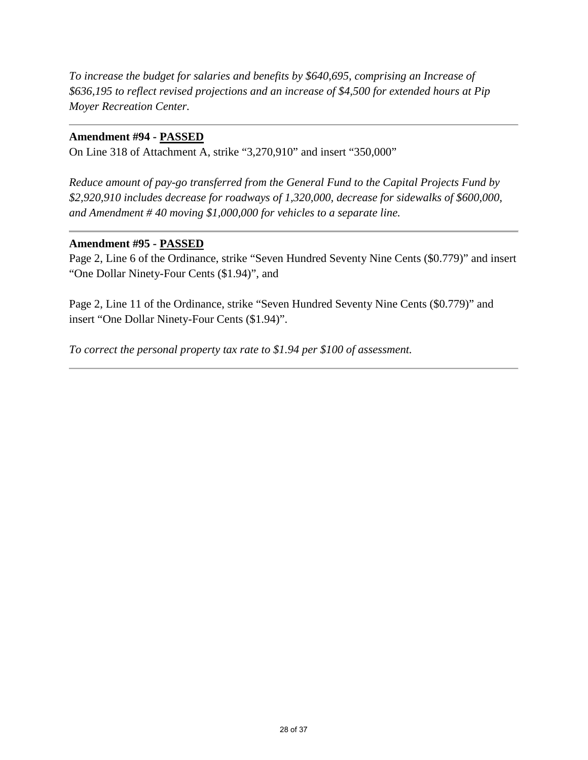*To increase the budget for salaries and benefits by \$640,695, comprising an Increase of \$636,195 to reflect revised projections and an increase of \$4,500 for extended hours at Pip Moyer Recreation Center.*

## **Amendment #94 - PASSED**

On Line 318 of Attachment A, strike "3,270,910" and insert "350,000"

*Reduce amount of pay-go transferred from the General Fund to the Capital Projects Fund by \$2,920,910 includes decrease for roadways of 1,320,000, decrease for sidewalks of \$600,000, and Amendment # 40 moving \$1,000,000 for vehicles to a separate line.*

## **Amendment #95 - PASSED**

Page 2, Line 6 of the Ordinance, strike "Seven Hundred Seventy Nine Cents (\$0.779)" and insert "One Dollar Ninety-Four Cents (\$1.94)", and

Page 2, Line 11 of the Ordinance, strike "Seven Hundred Seventy Nine Cents (\$0.779)" and insert "One Dollar Ninety-Four Cents (\$1.94)".

*To correct the personal property tax rate to \$1.94 per \$100 of assessment.*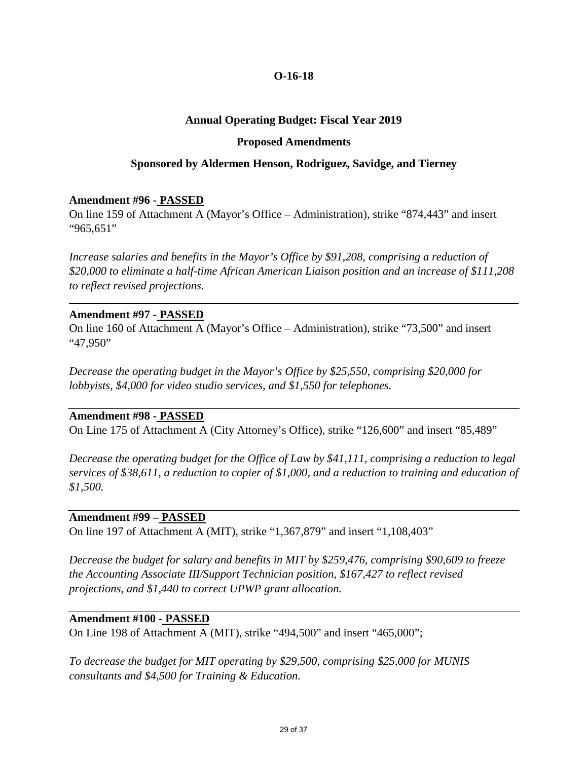## **Annual Operating Budget: Fiscal Year 2019**

#### **Proposed Amendments**

#### **Sponsored by Aldermen Henson, Rodriguez, Savidge, and Tierney**

#### **Amendment #96 - PASSED**

On line 159 of Attachment A (Mayor's Office – Administration), strike "874,443" and insert "965,651"

*Increase salaries and benefits in the Mayor's Office by \$91,208, comprising a reduction of \$20,000 to eliminate a half-time African American Liaison position and an increase of \$111,208 to reflect revised projections.*

#### **Amendment #97 - PASSED**

On line 160 of Attachment A (Mayor's Office – Administration), strike "73,500" and insert "47,950"

*Decrease the operating budget in the Mayor's Office by \$25,550, comprising \$20,000 for lobbyists, \$4,000 for video studio services, and \$1,550 for telephones.* 

#### **Amendment #98 - PASSED**

On Line 175 of Attachment A (City Attorney's Office), strike "126,600" and insert "85,489"

*Decrease the operating budget for the Office of Law by \$41,111, comprising a reduction to legal services of \$38,611, a reduction to copier of \$1,000, and a reduction to training and education of \$1,500.* 

## **Amendment #99 – PASSED**

On line 197 of Attachment A (MIT), strike "1,367,879" and insert "1,108,403"

*Decrease the budget for salary and benefits in MIT by \$259,476, comprising \$90,609 to freeze the Accounting Associate III/Support Technician position, \$167,427 to reflect revised projections, and \$1,440 to correct UPWP grant allocation.* 

#### **Amendment #100 - PASSED**

On Line 198 of Attachment A (MIT), strike "494,500" and insert "465,000";

*To decrease the budget for MIT operating by \$29,500, comprising \$25,000 for MUNIS consultants and \$4,500 for Training & Education.*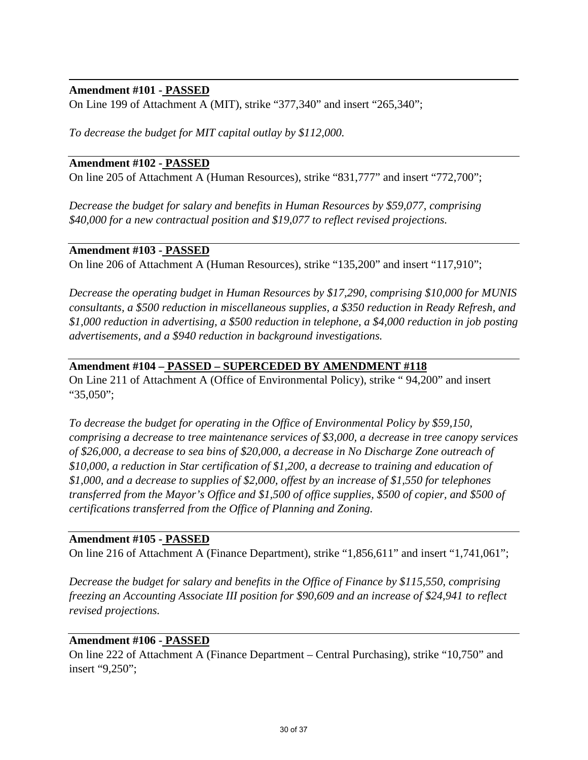## **Amendment #101 - PASSED**

On Line 199 of Attachment A (MIT), strike "377,340" and insert "265,340";

*To decrease the budget for MIT capital outlay by \$112,000.* 

## **Amendment #102 - PASSED**

On line 205 of Attachment A (Human Resources), strike "831,777" and insert "772,700";

*Decrease the budget for salary and benefits in Human Resources by \$59,077, comprising \$40,000 for a new contractual position and \$19,077 to reflect revised projections.* 

## **Amendment #103 - PASSED**

On line 206 of Attachment A (Human Resources), strike "135,200" and insert "117,910";

*Decrease the operating budget in Human Resources by \$17,290, comprising \$10,000 for MUNIS consultants, a \$500 reduction in miscellaneous supplies, a \$350 reduction in Ready Refresh, and \$1,000 reduction in advertising, a \$500 reduction in telephone, a \$4,000 reduction in job posting advertisements, and a \$940 reduction in background investigations.* 

# **Amendment #104 – PASSED – SUPERCEDED BY AMENDMENT #118**

On Line 211 of Attachment A (Office of Environmental Policy), strike " 94,200" and insert "35,050";

*To decrease the budget for operating in the Office of Environmental Policy by \$59,150, comprising a decrease to tree maintenance services of \$3,000, a decrease in tree canopy services of \$26,000, a decrease to sea bins of \$20,000, a decrease in No Discharge Zone outreach of \$10,000, a reduction in Star certification of \$1,200, a decrease to training and education of \$1,000, and a decrease to supplies of \$2,000, offest by an increase of \$1,550 for telephones transferred from the Mayor's Office and \$1,500 of office supplies, \$500 of copier, and \$500 of certifications transferred from the Office of Planning and Zoning.* 

## **Amendment #105 - PASSED**

On line 216 of Attachment A (Finance Department), strike "1,856,611" and insert "1,741,061";

*Decrease the budget for salary and benefits in the Office of Finance by \$115,550, comprising freezing an Accounting Associate III position for \$90,609 and an increase of \$24,941 to reflect revised projections.*

## **Amendment #106 - PASSED**

On line 222 of Attachment A (Finance Department – Central Purchasing), strike "10,750" and insert "9,250";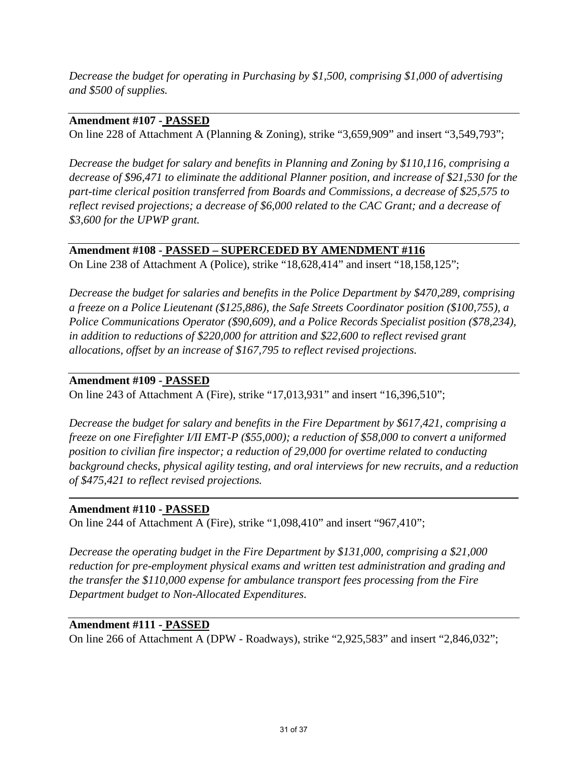*Decrease the budget for operating in Purchasing by \$1,500, comprising \$1,000 of advertising and \$500 of supplies.* 

# **Amendment #107 - PASSED**

On line 228 of Attachment A (Planning & Zoning), strike "3,659,909" and insert "3,549,793";

*Decrease the budget for salary and benefits in Planning and Zoning by \$110,116, comprising a decrease of \$96,471 to eliminate the additional Planner position, and increase of \$21,530 for the part-time clerical position transferred from Boards and Commissions, a decrease of \$25,575 to reflect revised projections; a decrease of \$6,000 related to the CAC Grant; and a decrease of \$3,600 for the UPWP grant.* 

# **Amendment #108 - PASSED – SUPERCEDED BY AMENDMENT #116**

On Line 238 of Attachment A (Police), strike "18,628,414" and insert "18,158,125";

*Decrease the budget for salaries and benefits in the Police Department by \$470,289, comprising a freeze on a Police Lieutenant (\$125,886), the Safe Streets Coordinator position (\$100,755), a Police Communications Operator (\$90,609), and a Police Records Specialist position (\$78,234), in addition to reductions of \$220,000 for attrition and \$22,600 to reflect revised grant allocations, offset by an increase of \$167,795 to reflect revised projections.* 

# **Amendment #109 - PASSED**

On line 243 of Attachment A (Fire), strike "17,013,931" and insert "16,396,510";

*Decrease the budget for salary and benefits in the Fire Department by \$617,421, comprising a freeze on one Firefighter I/II EMT-P (\$55,000); a reduction of \$58,000 to convert a uniformed position to civilian fire inspector; a reduction of 29,000 for overtime related to conducting background checks, physical agility testing, and oral interviews for new recruits, and a reduction of \$475,421 to reflect revised projections.* 

# **Amendment #110 - PASSED**

On line 244 of Attachment A (Fire), strike "1,098,410" and insert "967,410";

*Decrease the operating budget in the Fire Department by \$131,000, comprising a \$21,000 reduction for pre-employment physical exams and written test administration and grading and the transfer the \$110,000 expense for ambulance transport fees processing from the Fire Department budget to Non-Allocated Expenditures.* 

# **Amendment #111 - PASSED**

On line 266 of Attachment A (DPW - Roadways), strike "2,925,583" and insert "2,846,032";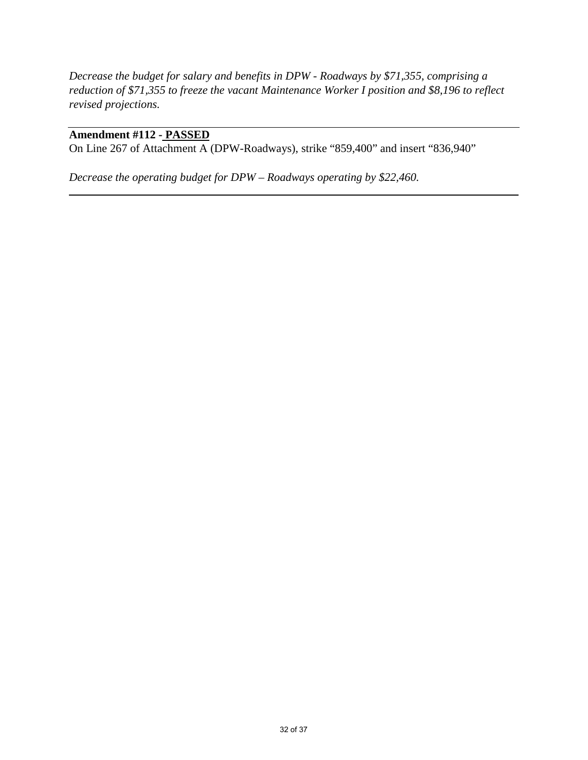*Decrease the budget for salary and benefits in DPW - Roadways by \$71,355, comprising a reduction of \$71,355 to freeze the vacant Maintenance Worker I position and \$8,196 to reflect revised projections.*

# **Amendment #112 - PASSED**

On Line 267 of Attachment A (DPW-Roadways), strike "859,400" and insert "836,940"

*Decrease the operating budget for DPW – Roadways operating by \$22,460.*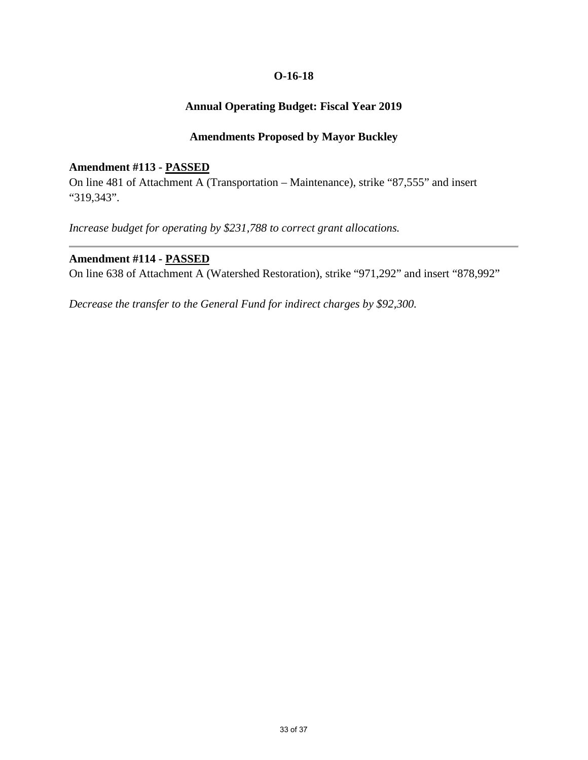# **Annual Operating Budget: Fiscal Year 2019**

## **Amendments Proposed by Mayor Buckley**

#### **Amendment #113 - PASSED**

On line 481 of Attachment A (Transportation – Maintenance), strike "87,555" and insert "319,343".

*Increase budget for operating by \$231,788 to correct grant allocations.* 

## **Amendment #114 - PASSED**

On line 638 of Attachment A (Watershed Restoration), strike "971,292" and insert "878,992"

*Decrease the transfer to the General Fund for indirect charges by \$92,300.*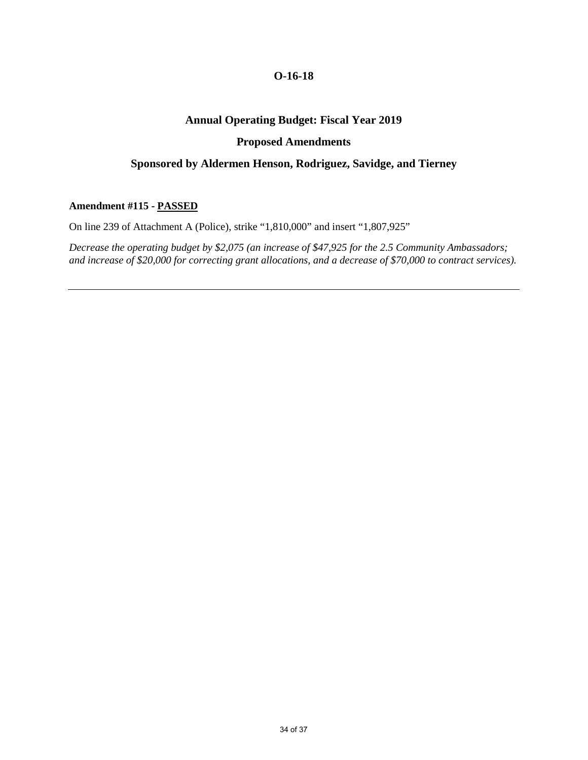## **Annual Operating Budget: Fiscal Year 2019**

#### **Proposed Amendments**

### **Sponsored by Aldermen Henson, Rodriguez, Savidge, and Tierney**

#### **Amendment #115 - PASSED**

On line 239 of Attachment A (Police), strike "1,810,000" and insert "1,807,925"

*Decrease the operating budget by \$2,075 (an increase of \$47,925 for the 2.5 Community Ambassadors; and increase of \$20,000 for correcting grant allocations, and a decrease of \$70,000 to contract services).*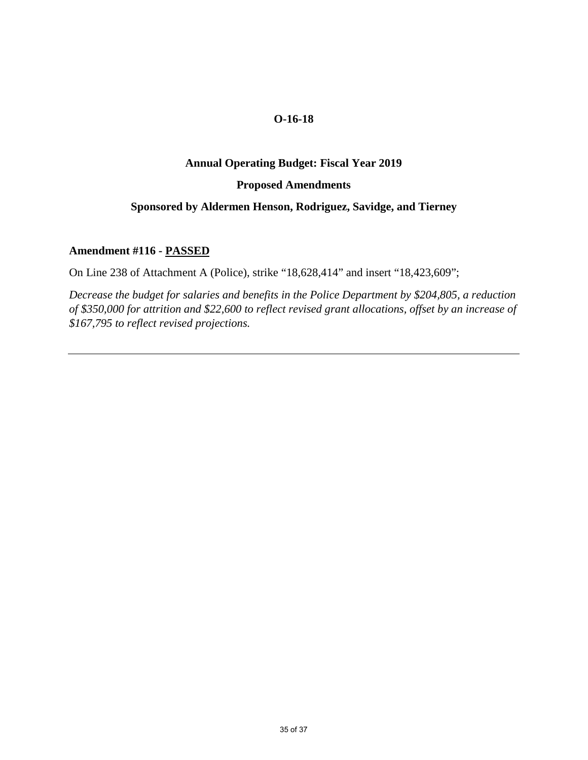#### **Annual Operating Budget: Fiscal Year 2019**

#### **Proposed Amendments**

## **Sponsored by Aldermen Henson, Rodriguez, Savidge, and Tierney**

#### **Amendment #116 - PASSED**

On Line 238 of Attachment A (Police), strike "18,628,414" and insert "18,423,609";

*Decrease the budget for salaries and benefits in the Police Department by \$204,805, a reduction of \$350,000 for attrition and \$22,600 to reflect revised grant allocations, offset by an increase of \$167,795 to reflect revised projections.*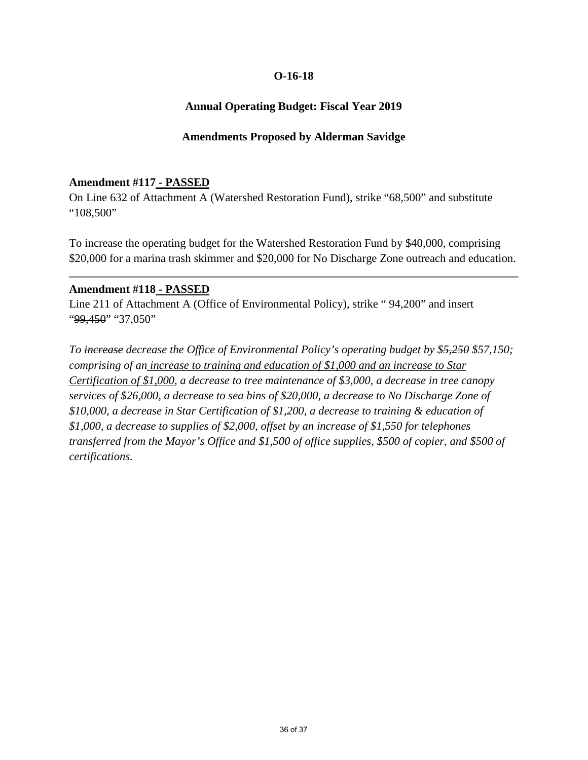# **Annual Operating Budget: Fiscal Year 2019**

## **Amendments Proposed by Alderman Savidge**

## **Amendment #117 - PASSED**

On Line 632 of Attachment A (Watershed Restoration Fund), strike "68,500" and substitute "108,500"

To increase the operating budget for the Watershed Restoration Fund by \$40,000, comprising \$20,000 for a marina trash skimmer and \$20,000 for No Discharge Zone outreach and education.

#### **Amendment #118 - PASSED**

Line 211 of Attachment A (Office of Environmental Policy), strike " 94,200" and insert "99,450" "37,050"

*To increase decrease the Office of Environmental Policy's operating budget by \$5,250 \$57,150; comprising of an increase to training and education of \$1,000 and an increase to Star Certification of \$1,000, a decrease to tree maintenance of \$3,000, a decrease in tree canopy services of \$26,000, a decrease to sea bins of \$20,000, a decrease to No Discharge Zone of \$10,000, a decrease in Star Certification of \$1,200, a decrease to training & education of \$1,000, a decrease to supplies of \$2,000, offset by an increase of \$1,550 for telephones transferred from the Mayor's Office and \$1,500 of office supplies, \$500 of copier, and \$500 of certifications.*